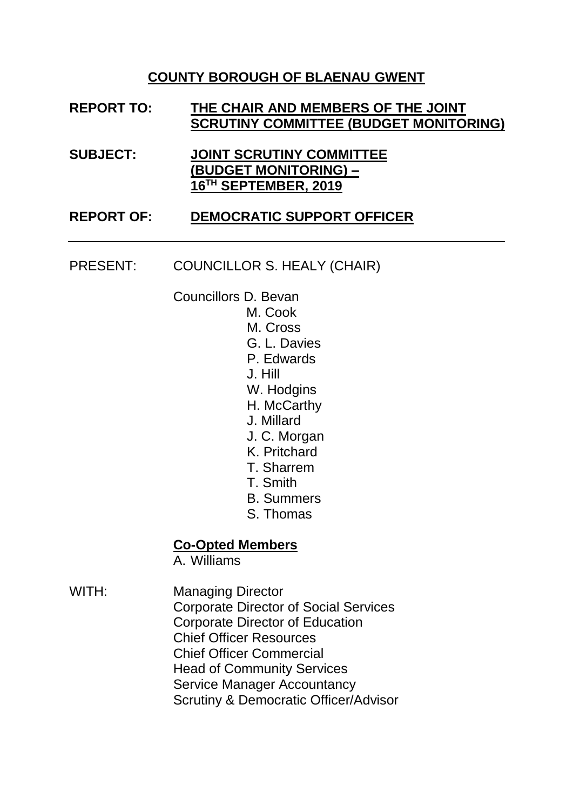### **COUNTY BOROUGH OF BLAENAU GWENT**

### **REPORT TO: THE CHAIR AND MEMBERS OF THE JOINT SCRUTINY COMMITTEE (BUDGET MONITORING)**

**SUBJECT: JOINT SCRUTINY COMMITTEE (BUDGET MONITORING) – 16 TH SEPTEMBER, 2019**

#### **REPORT OF: DEMOCRATIC SUPPORT OFFICER**

PRESENT: COUNCILLOR S. HEALY (CHAIR)

Councillors D. Bevan

- M. Cook
	- M. Cross
	- G. L. Davies
	- P. Edwards
	- J. Hill
	- W. Hodgins
	- H. McCarthy
	- J. Millard
	- J. C. Morgan
	- K. Pritchard
	- T. Sharrem
	- T. Smith
	- B. Summers
	- S. Thomas

#### **Co-Opted Members**

A. Williams

WITH: Managing Director Corporate Director of Social Services Corporate Director of Education Chief Officer Resources Chief Officer Commercial Head of Community Services Service Manager Accountancy Scrutiny & Democratic Officer/Advisor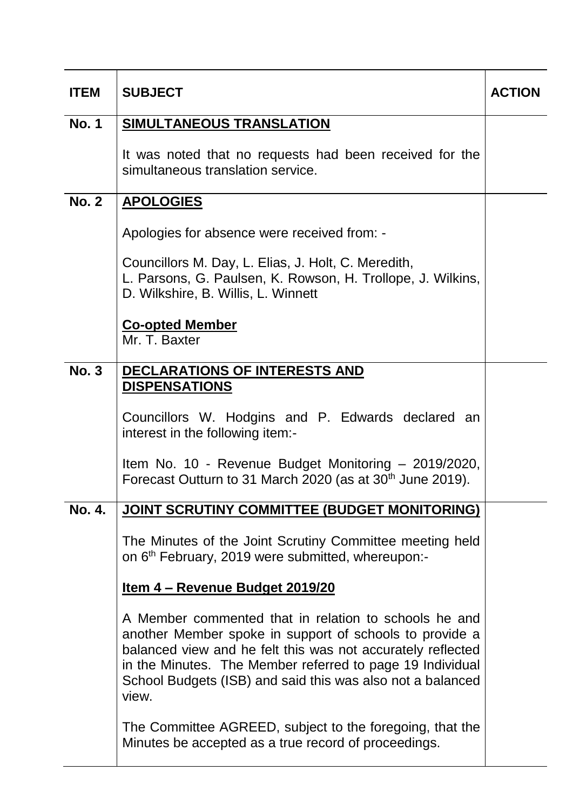| <b>ITEM</b>  | <b>SUBJECT</b>                                                                                                                                                                                                                                                                                                      |  |  |  |  |  |
|--------------|---------------------------------------------------------------------------------------------------------------------------------------------------------------------------------------------------------------------------------------------------------------------------------------------------------------------|--|--|--|--|--|
| <b>No. 1</b> | <b>SIMULTANEOUS TRANSLATION</b>                                                                                                                                                                                                                                                                                     |  |  |  |  |  |
|              | It was noted that no requests had been received for the<br>simultaneous translation service.                                                                                                                                                                                                                        |  |  |  |  |  |
| <b>No. 2</b> | <b>APOLOGIES</b>                                                                                                                                                                                                                                                                                                    |  |  |  |  |  |
|              | Apologies for absence were received from: -                                                                                                                                                                                                                                                                         |  |  |  |  |  |
|              | Councillors M. Day, L. Elias, J. Holt, C. Meredith,<br>L. Parsons, G. Paulsen, K. Rowson, H. Trollope, J. Wilkins,<br>D. Wilkshire, B. Willis, L. Winnett                                                                                                                                                           |  |  |  |  |  |
|              | <b>Co-opted Member</b><br>Mr. T. Baxter                                                                                                                                                                                                                                                                             |  |  |  |  |  |
| <b>No. 3</b> | <b>DECLARATIONS OF INTERESTS AND</b><br><b>DISPENSATIONS</b>                                                                                                                                                                                                                                                        |  |  |  |  |  |
|              | Councillors W. Hodgins and P. Edwards declared an<br>interest in the following item:-                                                                                                                                                                                                                               |  |  |  |  |  |
|              | Item No. 10 - Revenue Budget Monitoring - 2019/2020,<br>Forecast Outturn to 31 March 2020 (as at 30 <sup>th</sup> June 2019).                                                                                                                                                                                       |  |  |  |  |  |
| No. 4.       | <b>JOINT SCRUTINY COMMITTEE (BUDGET MONITORING)</b>                                                                                                                                                                                                                                                                 |  |  |  |  |  |
|              | The Minutes of the Joint Scrutiny Committee meeting held<br>on 6 <sup>th</sup> February, 2019 were submitted, whereupon:-                                                                                                                                                                                           |  |  |  |  |  |
|              | <u>Item 4 – Revenue Budget 2019/20</u>                                                                                                                                                                                                                                                                              |  |  |  |  |  |
|              | A Member commented that in relation to schools he and<br>another Member spoke in support of schools to provide a<br>balanced view and he felt this was not accurately reflected<br>in the Minutes. The Member referred to page 19 Individual<br>School Budgets (ISB) and said this was also not a balanced<br>view. |  |  |  |  |  |
|              | The Committee AGREED, subject to the foregoing, that the<br>Minutes be accepted as a true record of proceedings.                                                                                                                                                                                                    |  |  |  |  |  |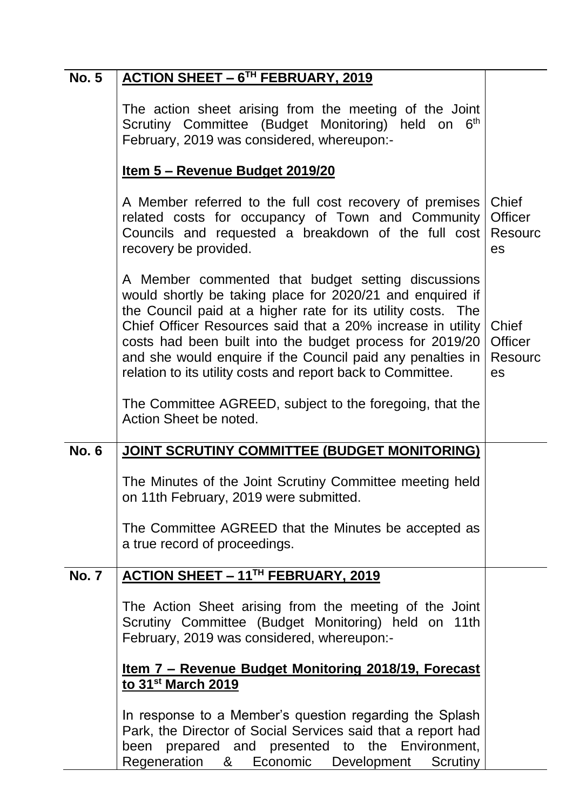| <b>No. 5</b> | <b>ACTION SHEET - 6TH FEBRUARY, 2019</b>                                                                                                                                                                                                                                                                                                                                                                                                |                                          |  |  |  |  |
|--------------|-----------------------------------------------------------------------------------------------------------------------------------------------------------------------------------------------------------------------------------------------------------------------------------------------------------------------------------------------------------------------------------------------------------------------------------------|------------------------------------------|--|--|--|--|
|              | The action sheet arising from the meeting of the Joint<br>Scrutiny Committee (Budget Monitoring) held on<br>6 <sup>th</sup><br>February, 2019 was considered, whereupon:-                                                                                                                                                                                                                                                               |                                          |  |  |  |  |
|              | Item 5 - Revenue Budget 2019/20                                                                                                                                                                                                                                                                                                                                                                                                         |                                          |  |  |  |  |
|              | A Member referred to the full cost recovery of premises<br>related costs for occupancy of Town and Community<br>Councils and requested a breakdown of the full cost<br>recovery be provided.                                                                                                                                                                                                                                            |                                          |  |  |  |  |
|              | A Member commented that budget setting discussions<br>would shortly be taking place for 2020/21 and enquired if<br>the Council paid at a higher rate for its utility costs. The<br>Chief Officer Resources said that a 20% increase in utility<br>costs had been built into the budget process for 2019/20<br>and she would enquire if the Council paid any penalties in<br>relation to its utility costs and report back to Committee. | Chief<br><b>Officer</b><br>Resourc<br>es |  |  |  |  |
|              | The Committee AGREED, subject to the foregoing, that the<br>Action Sheet be noted.                                                                                                                                                                                                                                                                                                                                                      |                                          |  |  |  |  |
| <b>No. 6</b> | <b>JOINT SCRUTINY COMMITTEE (BUDGET MONITORING)</b>                                                                                                                                                                                                                                                                                                                                                                                     |                                          |  |  |  |  |
|              | The Minutes of the Joint Scrutiny Committee meeting held<br>on 11th February, 2019 were submitted.                                                                                                                                                                                                                                                                                                                                      |                                          |  |  |  |  |
|              | The Committee AGREED that the Minutes be accepted as<br>a true record of proceedings.                                                                                                                                                                                                                                                                                                                                                   |                                          |  |  |  |  |
| <b>No. 7</b> | ACTION SHEET - 11 <sup>TH</sup> FEBRUARY, 2019                                                                                                                                                                                                                                                                                                                                                                                          |                                          |  |  |  |  |
|              | The Action Sheet arising from the meeting of the Joint<br>Scrutiny Committee (Budget Monitoring) held on 11th<br>February, 2019 was considered, whereupon:-                                                                                                                                                                                                                                                                             |                                          |  |  |  |  |
|              | <u>Item 7 - Revenue Budget Monitoring 2018/19, Forecast</u><br>to 31 <sup>st</sup> March 2019                                                                                                                                                                                                                                                                                                                                           |                                          |  |  |  |  |
|              | In response to a Member's question regarding the Splash<br>Park, the Director of Social Services said that a report had<br>been prepared and presented to the Environment,<br>Regeneration & Economic Development<br>Scrutiny                                                                                                                                                                                                           |                                          |  |  |  |  |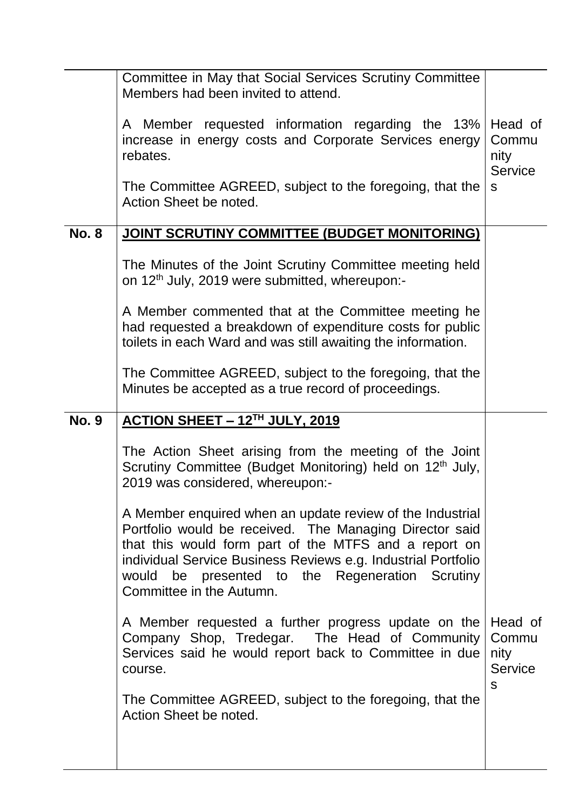|              | Committee in May that Social Services Scrutiny Committee<br>Members had been invited to attend.<br>A Member requested information regarding the 13%                                                                                                                                                                           | Head of                                    |  |  |  |  |
|--------------|-------------------------------------------------------------------------------------------------------------------------------------------------------------------------------------------------------------------------------------------------------------------------------------------------------------------------------|--------------------------------------------|--|--|--|--|
|              | increase in energy costs and Corporate Services energy<br>rebates.                                                                                                                                                                                                                                                            |                                            |  |  |  |  |
|              | The Committee AGREED, subject to the foregoing, that the<br>Action Sheet be noted.                                                                                                                                                                                                                                            |                                            |  |  |  |  |
| <b>No. 8</b> | <b>JOINT SCRUTINY COMMITTEE (BUDGET MONITORING)</b>                                                                                                                                                                                                                                                                           |                                            |  |  |  |  |
|              | The Minutes of the Joint Scrutiny Committee meeting held<br>on 12 <sup>th</sup> July, 2019 were submitted, whereupon:-                                                                                                                                                                                                        |                                            |  |  |  |  |
|              | A Member commented that at the Committee meeting he<br>had requested a breakdown of expenditure costs for public<br>toilets in each Ward and was still awaiting the information.                                                                                                                                              |                                            |  |  |  |  |
|              | The Committee AGREED, subject to the foregoing, that the<br>Minutes be accepted as a true record of proceedings.                                                                                                                                                                                                              |                                            |  |  |  |  |
| <b>No. 9</b> | <b>ACTION SHEET - 12TH JULY, 2019</b>                                                                                                                                                                                                                                                                                         |                                            |  |  |  |  |
|              | The Action Sheet arising from the meeting of the Joint<br>Scrutiny Committee (Budget Monitoring) held on 12 <sup>th</sup> July,<br>2019 was considered, whereupon:-                                                                                                                                                           |                                            |  |  |  |  |
|              | A Member enquired when an update review of the Industrial<br>Portfolio would be received. The Managing Director said<br>that this would form part of the MTFS and a report on<br>individual Service Business Reviews e.g. Industrial Portfolio<br>would be presented to the Regeneration Scrutiny<br>Committee in the Autumn. |                                            |  |  |  |  |
|              | A Member requested a further progress update on the<br>Company Shop, Tredegar. The Head of Community<br>Services said he would report back to Committee in due<br>course.                                                                                                                                                     | Head of<br>Commu<br>nity<br><b>Service</b> |  |  |  |  |
|              | The Committee AGREED, subject to the foregoing, that the<br>Action Sheet be noted.                                                                                                                                                                                                                                            | S                                          |  |  |  |  |
|              |                                                                                                                                                                                                                                                                                                                               |                                            |  |  |  |  |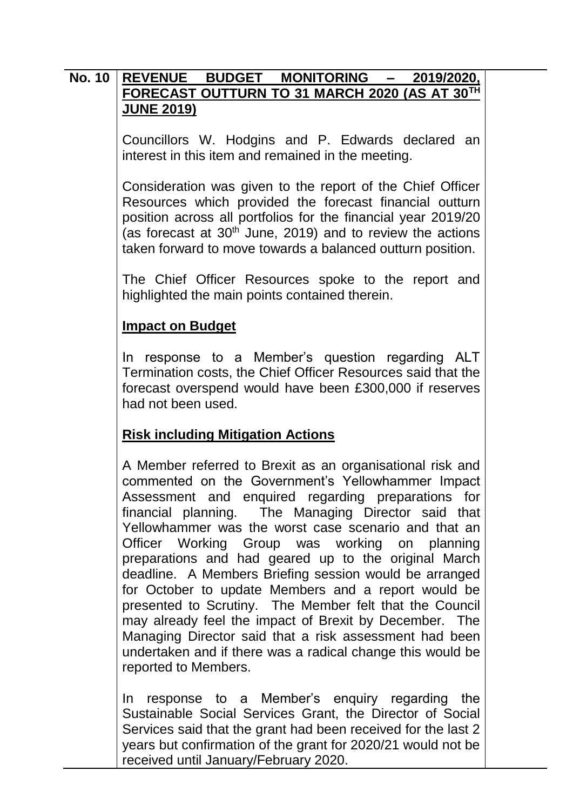### **No. 10 REVENUE BUDGET MONITORING – 2019/2020, FORECAST OUTTURN TO 31 MARCH 2020 (AS AT 30TH JUNE 2019)**

Councillors W. Hodgins and P. Edwards declared an interest in this item and remained in the meeting.

Consideration was given to the report of the Chief Officer Resources which provided the forecast financial outturn position across all portfolios for the financial year 2019/20 (as forecast at  $30<sup>th</sup>$  June, 2019) and to review the actions taken forward to move towards a balanced outturn position.

The Chief Officer Resources spoke to the report and highlighted the main points contained therein.

#### **Impact on Budget**

In response to a Member's question regarding ALT Termination costs, the Chief Officer Resources said that the forecast overspend would have been £300,000 if reserves had not been used.

### **Risk including Mitigation Actions**

A Member referred to Brexit as an organisational risk and commented on the Government's Yellowhammer Impact Assessment and enquired regarding preparations for financial planning. The Managing Director said that Yellowhammer was the worst case scenario and that an Officer Working Group was working on planning preparations and had geared up to the original March deadline. A Members Briefing session would be arranged for October to update Members and a report would be presented to Scrutiny. The Member felt that the Council may already feel the impact of Brexit by December. The Managing Director said that a risk assessment had been undertaken and if there was a radical change this would be reported to Members.

In response to a Member's enquiry regarding the Sustainable Social Services Grant, the Director of Social Services said that the grant had been received for the last 2 years but confirmation of the grant for 2020/21 would not be received until January/February 2020.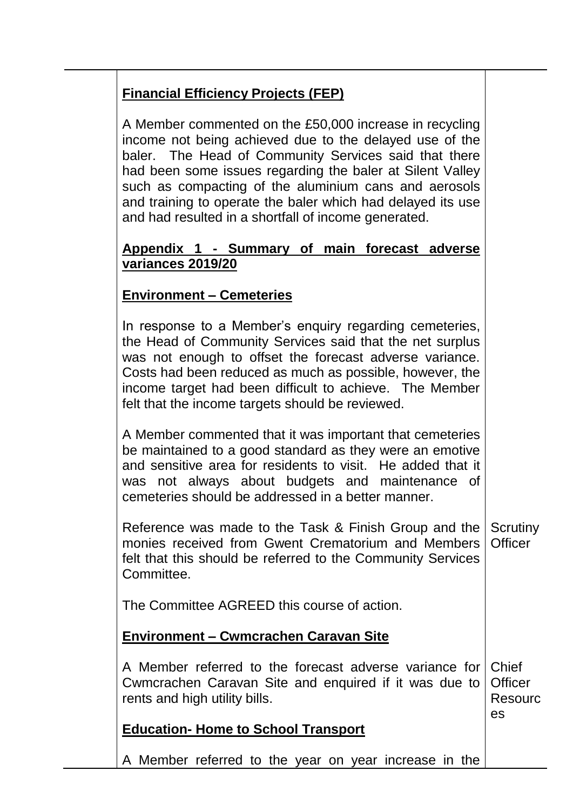# **Financial Efficiency Projects (FEP)**

A Member commented on the £50,000 increase in recycling income not being achieved due to the delayed use of the baler. The Head of Community Services said that there had been some issues regarding the baler at Silent Valley such as compacting of the aluminium cans and aerosols and training to operate the baler which had delayed its use and had resulted in a shortfall of income generated.

### **Appendix 1 - Summary of main forecast adverse variances 2019/20**

### **Environment – Cemeteries**

In response to a Member's enquiry regarding cemeteries, the Head of Community Services said that the net surplus was not enough to offset the forecast adverse variance. Costs had been reduced as much as possible, however, the income target had been difficult to achieve. The Member felt that the income targets should be reviewed.

A Member commented that it was important that cemeteries be maintained to a good standard as they were an emotive and sensitive area for residents to visit. He added that it was not always about budgets and maintenance of cemeteries should be addressed in a better manner.

Reference was made to the Task & Finish Group and the monies received from Gwent Crematorium and Members felt that this should be referred to the Community Services Committee. **Scrutiny Officer** 

The Committee AGREED this course of action.

## **Environment – Cwmcrachen Caravan Site**

A Member referred to the forecast adverse variance for Cwmcrachen Caravan Site and enquired if it was due to rents and high utility bills. **Chief Officer** Resourc es

# **Education- Home to School Transport**

A Member referred to the year on year increase in the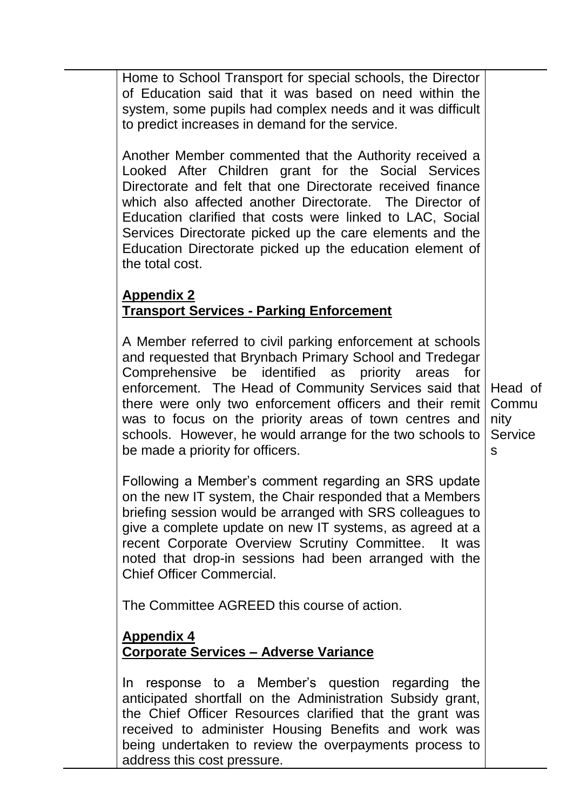Home to School Transport for special schools, the Director of Education said that it was based on need within the system, some pupils had complex needs and it was difficult to predict increases in demand for the service.

Another Member commented that the Authority received a Looked After Children grant for the Social Services Directorate and felt that one Directorate received finance which also affected another Directorate. The Director of Education clarified that costs were linked to LAC, Social Services Directorate picked up the care elements and the Education Directorate picked up the education element of the total cost.

# **Appendix 2 Transport Services - Parking Enforcement**

A Member referred to civil parking enforcement at schools and requested that Brynbach Primary School and Tredegar Comprehensive be identified as priority areas for enforcement. The Head of Community Services said that there were only two enforcement officers and their remit was to focus on the priority areas of town centres and schools. However, he would arrange for the two schools to be made a priority for officers.

Following a Member's comment regarding an SRS update on the new IT system, the Chair responded that a Members briefing session would be arranged with SRS colleagues to give a complete update on new IT systems, as agreed at a recent Corporate Overview Scrutiny Committee. It was noted that drop-in sessions had been arranged with the Chief Officer Commercial.

The Committee AGREED this course of action.

# **Appendix 4 Corporate Services – Adverse Variance**

In response to a Member's question regarding the anticipated shortfall on the Administration Subsidy grant, the Chief Officer Resources clarified that the grant was received to administer Housing Benefits and work was being undertaken to review the overpayments process to address this cost pressure.

Head of Commu nity **Service** s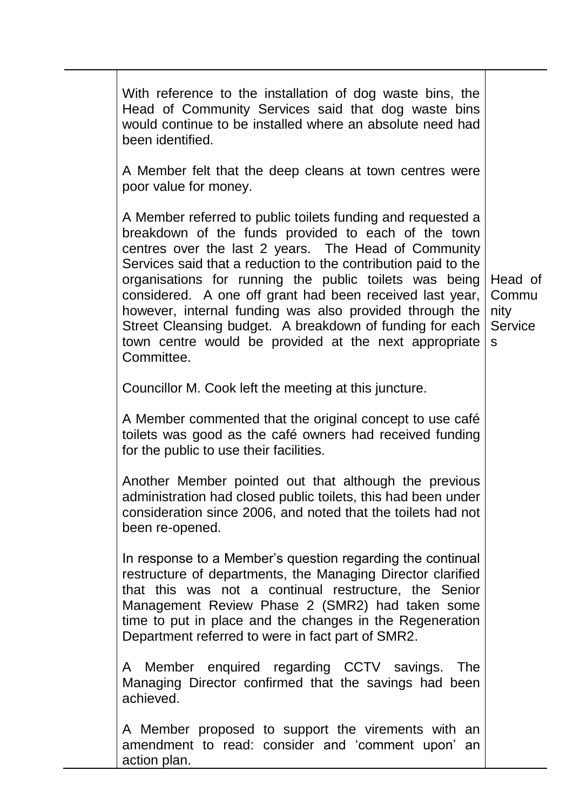With reference to the installation of dog waste bins, the Head of Community Services said that dog waste bins would continue to be installed where an absolute need had been identified. A Member felt that the deep cleans at town centres were poor value for money. A Member referred to public toilets funding and requested a breakdown of the funds provided to each of the town centres over the last 2 years. The Head of Community Services said that a reduction to the contribution paid to the organisations for running the public toilets was being considered. A one off grant had been received last year, however, internal funding was also provided through the Street Cleansing budget. A breakdown of funding for each town centre would be provided at the next appropriate **Committee** Councillor M. Cook left the meeting at this juncture. A Member commented that the original concept to use café toilets was good as the café owners had received funding for the public to use their facilities. Another Member pointed out that although the previous administration had closed public toilets, this had been under consideration since 2006, and noted that the toilets had not been re-opened. In response to a Member's question regarding the continual restructure of departments, the Managing Director clarified that this was not a continual restructure, the Senior Management Review Phase 2 (SMR2) had taken some time to put in place and the changes in the Regeneration Department referred to were in fact part of SMR2. A Member enquired regarding CCTV savings. The Managing Director confirmed that the savings had been achieved. A Member proposed to support the virements with an amendment to read: consider and 'comment upon' an action plan. Head of Commu nity **Service** s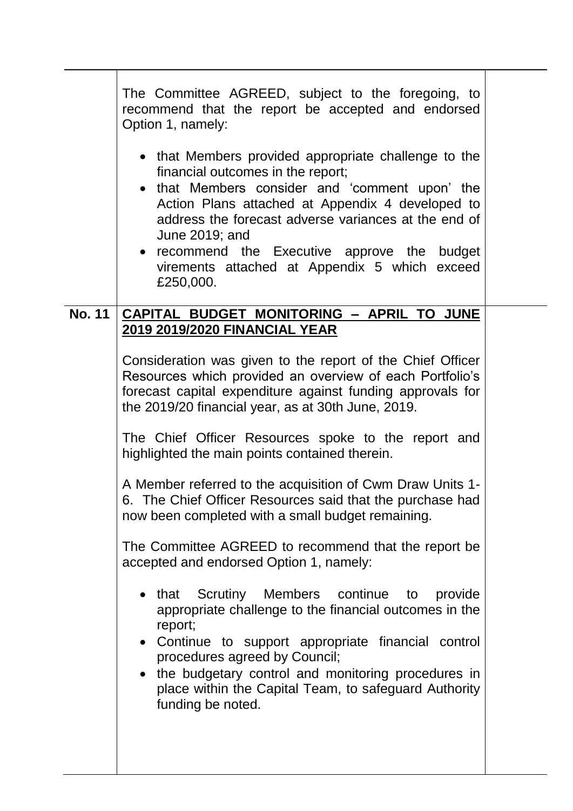|               | The Committee AGREED, subject to the foregoing, to<br>recommend that the report be accepted and endorsed<br>Option 1, namely:<br>• that Members provided appropriate challenge to the<br>financial outcomes in the report;<br>• that Members consider and 'comment upon' the<br>Action Plans attached at Appendix 4 developed to<br>address the forecast adverse variances at the end of<br>June 2019; and<br>• recommend the Executive approve the budget<br>virements attached at Appendix 5 which exceed<br>£250,000. |  |
|---------------|--------------------------------------------------------------------------------------------------------------------------------------------------------------------------------------------------------------------------------------------------------------------------------------------------------------------------------------------------------------------------------------------------------------------------------------------------------------------------------------------------------------------------|--|
| <b>No. 11</b> | CAPITAL BUDGET MONITORING - APRIL TO JUNE                                                                                                                                                                                                                                                                                                                                                                                                                                                                                |  |
|               | <b>2019 2019/2020 FINANCIAL YEAR</b>                                                                                                                                                                                                                                                                                                                                                                                                                                                                                     |  |
|               | Consideration was given to the report of the Chief Officer<br>Resources which provided an overview of each Portfolio's<br>forecast capital expenditure against funding approvals for<br>the 2019/20 financial year, as at 30th June, 2019.                                                                                                                                                                                                                                                                               |  |
|               | The Chief Officer Resources spoke to the report and<br>highlighted the main points contained therein.                                                                                                                                                                                                                                                                                                                                                                                                                    |  |
|               | A Member referred to the acquisition of Cwm Draw Units 1-<br>6. The Chief Officer Resources said that the purchase had<br>now been completed with a small budget remaining.                                                                                                                                                                                                                                                                                                                                              |  |
|               | The Committee AGREED to recommend that the report be<br>accepted and endorsed Option 1, namely:                                                                                                                                                                                                                                                                                                                                                                                                                          |  |
|               | Scrutiny<br>Members continue<br>that<br>provide<br>to<br>appropriate challenge to the financial outcomes in the<br>report;<br>• Continue to support appropriate financial control<br>procedures agreed by Council;<br>• the budgetary control and monitoring procedures in<br>place within the Capital Team, to safeguard Authority<br>funding be noted.                                                                                                                                                                 |  |
|               |                                                                                                                                                                                                                                                                                                                                                                                                                                                                                                                          |  |